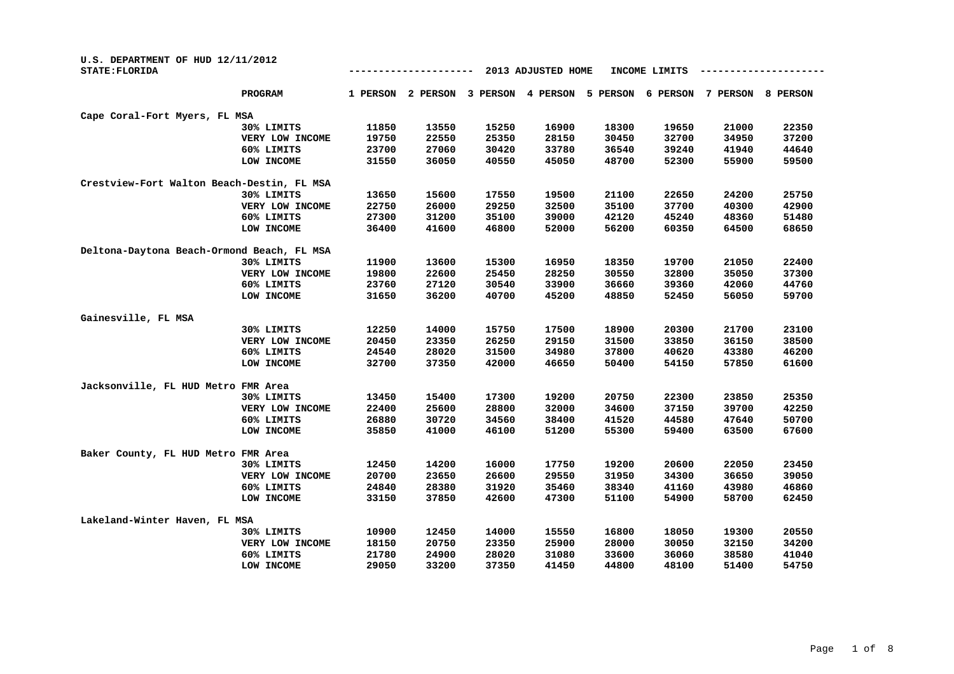| U.S. DEPARTMENT OF HUD 12/11/2012<br><b>STATE: FLORIDA</b> |                 | 2013 ADJUSTED HOME<br>INCOME LIMITS |          |          |          |          |          |          |          |  |  |
|------------------------------------------------------------|-----------------|-------------------------------------|----------|----------|----------|----------|----------|----------|----------|--|--|
|                                                            | PROGRAM         | 1 PERSON                            | 2 PERSON | 3 PERSON | 4 PERSON | 5 PERSON | 6 PERSON | 7 PERSON | 8 PERSON |  |  |
| Cape Coral-Fort Myers, FL MSA                              |                 |                                     |          |          |          |          |          |          |          |  |  |
|                                                            | 30% LIMITS      | 11850                               | 13550    | 15250    | 16900    | 18300    | 19650    | 21000    | 22350    |  |  |
|                                                            | VERY LOW INCOME | 19750                               | 22550    | 25350    | 28150    | 30450    | 32700    | 34950    | 37200    |  |  |
|                                                            | 60% LIMITS      | 23700                               | 27060    | 30420    | 33780    | 36540    | 39240    | 41940    | 44640    |  |  |
|                                                            | LOW INCOME      | 31550                               | 36050    | 40550    | 45050    | 48700    | 52300    | 55900    | 59500    |  |  |
| Crestview-Fort Walton Beach-Destin, FL MSA                 |                 |                                     |          |          |          |          |          |          |          |  |  |
|                                                            | 30% LIMITS      | 13650                               | 15600    | 17550    | 19500    | 21100    | 22650    | 24200    | 25750    |  |  |
|                                                            | VERY LOW INCOME | 22750                               | 26000    | 29250    | 32500    | 35100    | 37700    | 40300    | 42900    |  |  |
|                                                            | 60% LIMITS      | 27300                               | 31200    | 35100    | 39000    | 42120    | 45240    | 48360    | 51480    |  |  |
|                                                            | LOW INCOME      | 36400                               | 41600    | 46800    | 52000    | 56200    | 60350    | 64500    | 68650    |  |  |
| Deltona-Daytona Beach-Ormond Beach, FL MSA                 |                 |                                     |          |          |          |          |          |          |          |  |  |
|                                                            | 30% LIMITS      | 11900                               | 13600    | 15300    | 16950    | 18350    | 19700    | 21050    | 22400    |  |  |
|                                                            | VERY LOW INCOME | 19800                               | 22600    | 25450    | 28250    | 30550    | 32800    | 35050    | 37300    |  |  |
|                                                            | 60% LIMITS      | 23760                               | 27120    | 30540    | 33900    | 36660    | 39360    | 42060    | 44760    |  |  |
|                                                            | LOW INCOME      | 31650                               | 36200    | 40700    | 45200    | 48850    | 52450    | 56050    | 59700    |  |  |
| Gainesville, FL MSA                                        |                 |                                     |          |          |          |          |          |          |          |  |  |
|                                                            | 30% LIMITS      | 12250                               | 14000    | 15750    | 17500    | 18900    | 20300    | 21700    | 23100    |  |  |
|                                                            | VERY LOW INCOME | 20450                               | 23350    | 26250    | 29150    | 31500    | 33850    | 36150    | 38500    |  |  |
|                                                            | 60% LIMITS      | 24540                               | 28020    | 31500    | 34980    | 37800    | 40620    | 43380    | 46200    |  |  |
|                                                            | LOW INCOME      | 32700                               | 37350    | 42000    | 46650    | 50400    | 54150    | 57850    | 61600    |  |  |
| Jacksonville, FL HUD Metro FMR Area                        |                 |                                     |          |          |          |          |          |          |          |  |  |
|                                                            | 30% LIMITS      | 13450                               | 15400    | 17300    | 19200    | 20750    | 22300    | 23850    | 25350    |  |  |
|                                                            | VERY LOW INCOME | 22400                               | 25600    | 28800    | 32000    | 34600    | 37150    | 39700    | 42250    |  |  |
|                                                            | 60% LIMITS      | 26880                               | 30720    | 34560    | 38400    | 41520    | 44580    | 47640    | 50700    |  |  |
|                                                            | LOW INCOME      | 35850                               | 41000    | 46100    | 51200    | 55300    | 59400    | 63500    | 67600    |  |  |
| Baker County, FL HUD Metro FMR Area                        |                 |                                     |          |          |          |          |          |          |          |  |  |
|                                                            | 30% LIMITS      | 12450                               | 14200    | 16000    | 17750    | 19200    | 20600    | 22050    | 23450    |  |  |
|                                                            | VERY LOW INCOME | 20700                               | 23650    | 26600    | 29550    | 31950    | 34300    | 36650    | 39050    |  |  |
|                                                            | 60% LIMITS      | 24840                               | 28380    | 31920    | 35460    | 38340    | 41160    | 43980    | 46860    |  |  |
|                                                            | LOW INCOME      | 33150                               | 37850    | 42600    | 47300    | 51100    | 54900    | 58700    | 62450    |  |  |
| Lakeland-Winter Haven, FL MSA                              |                 |                                     |          |          |          |          |          |          |          |  |  |
|                                                            | 30% LIMITS      | 10900                               | 12450    | 14000    | 15550    | 16800    | 18050    | 19300    | 20550    |  |  |
|                                                            | VERY LOW INCOME | 18150                               | 20750    | 23350    | 25900    | 28000    | 30050    | 32150    | 34200    |  |  |
|                                                            | 60% LIMITS      | 21780                               | 24900    | 28020    | 31080    | 33600    | 36060    | 38580    | 41040    |  |  |
|                                                            | LOW INCOME      | 29050                               | 33200    | 37350    | 41450    | 44800    | 48100    | 51400    | 54750    |  |  |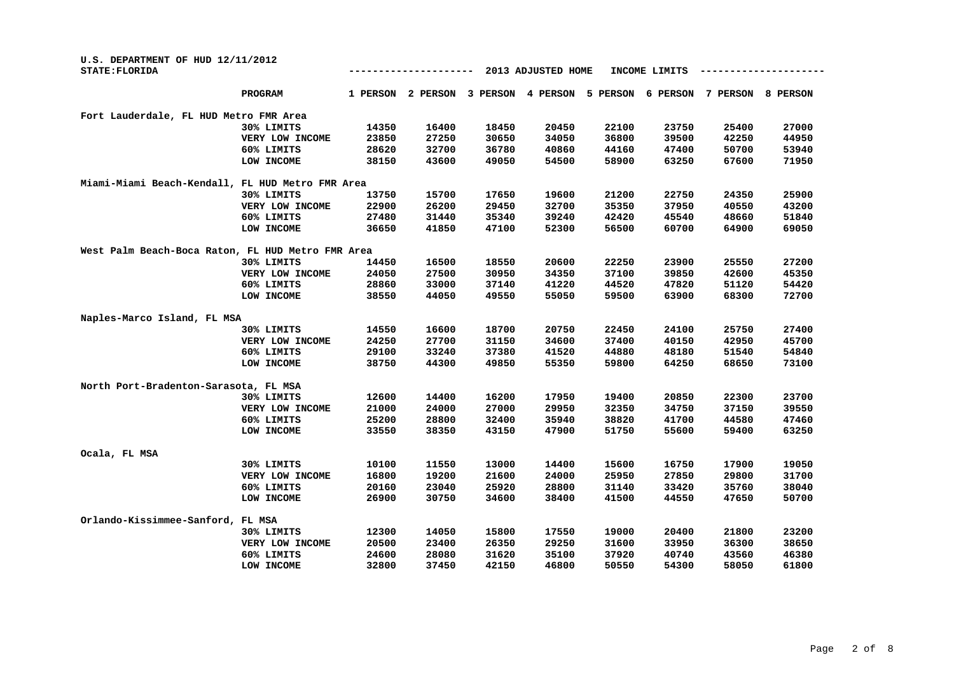| U.S. DEPARTMENT OF HUD 12/11/2012<br>STATE: FLORIDA |                 |          |          |          | 2013 ADJUSTED HOME |          | INCOME LIMITS |          |          |
|-----------------------------------------------------|-----------------|----------|----------|----------|--------------------|----------|---------------|----------|----------|
|                                                     | PROGRAM         | 1 PERSON | 2 PERSON | 3 PERSON | 4 PERSON           | 5 PERSON | 6 PERSON      | 7 PERSON | 8 PERSON |
| Fort Lauderdale, FL HUD Metro FMR Area              |                 |          |          |          |                    |          |               |          |          |
|                                                     | 30% LIMITS      | 14350    | 16400    | 18450    | 20450              | 22100    | 23750         | 25400    | 27000    |
|                                                     | VERY LOW INCOME | 23850    | 27250    | 30650    | 34050              | 36800    | 39500         | 42250    | 44950    |
|                                                     | 60% LIMITS      | 28620    | 32700    | 36780    | 40860              | 44160    | 47400         | 50700    | 53940    |
|                                                     | LOW INCOME      | 38150    | 43600    | 49050    | 54500              | 58900    | 63250         | 67600    | 71950    |
| Miami-Miami Beach-Kendall, FL HUD Metro FMR Area    |                 |          |          |          |                    |          |               |          |          |
|                                                     | 30% LIMITS      | 13750    | 15700    | 17650    | 19600              | 21200    | 22750         | 24350    | 25900    |
|                                                     | VERY LOW INCOME | 22900    | 26200    | 29450    | 32700              | 35350    | 37950         | 40550    | 43200    |
|                                                     | 60% LIMITS      | 27480    | 31440    | 35340    | 39240              | 42420    | 45540         | 48660    | 51840    |
|                                                     | LOW INCOME      | 36650    | 41850    | 47100    | 52300              | 56500    | 60700         | 64900    | 69050    |
| West Palm Beach-Boca Raton, FL HUD Metro FMR Area   |                 |          |          |          |                    |          |               |          |          |
|                                                     | 30% LIMITS      | 14450    | 16500    | 18550    | 20600              | 22250    | 23900         | 25550    | 27200    |
|                                                     | VERY LOW INCOME | 24050    | 27500    | 30950    | 34350              | 37100    | 39850         | 42600    | 45350    |
|                                                     | 60% LIMITS      | 28860    | 33000    | 37140    | 41220              | 44520    | 47820         | 51120    | 54420    |
|                                                     | LOW INCOME      | 38550    | 44050    | 49550    | 55050              | 59500    | 63900         | 68300    | 72700    |
| Naples-Marco Island, FL MSA                         |                 |          |          |          |                    |          |               |          |          |
|                                                     | 30% LIMITS      | 14550    | 16600    | 18700    | 20750              | 22450    | 24100         | 25750    | 27400    |
|                                                     | VERY LOW INCOME | 24250    | 27700    | 31150    | 34600              | 37400    | 40150         | 42950    | 45700    |
|                                                     | 60% LIMITS      | 29100    | 33240    | 37380    | 41520              | 44880    | 48180         | 51540    | 54840    |
|                                                     | LOW INCOME      | 38750    | 44300    | 49850    | 55350              | 59800    | 64250         | 68650    | 73100    |
| North Port-Bradenton-Sarasota, FL MSA               |                 |          |          |          |                    |          |               |          |          |
|                                                     | 30% LIMITS      | 12600    | 14400    | 16200    | 17950              | 19400    | 20850         | 22300    | 23700    |
|                                                     | VERY LOW INCOME | 21000    | 24000    | 27000    | 29950              | 32350    | 34750         | 37150    | 39550    |
|                                                     | 60% LIMITS      | 25200    | 28800    | 32400    | 35940              | 38820    | 41700         | 44580    | 47460    |
|                                                     | LOW INCOME      | 33550    | 38350    | 43150    | 47900              | 51750    | 55600         | 59400    | 63250    |
| Ocala, FL MSA                                       |                 |          |          |          |                    |          |               |          |          |
|                                                     | 30% LIMITS      | 10100    | 11550    | 13000    | 14400              | 15600    | 16750         | 17900    | 19050    |
|                                                     | VERY LOW INCOME | 16800    | 19200    | 21600    | 24000              | 25950    | 27850         | 29800    | 31700    |
|                                                     | 60% LIMITS      | 20160    | 23040    | 25920    | 28800              | 31140    | 33420         | 35760    | 38040    |
|                                                     | LOW INCOME      | 26900    | 30750    | 34600    | 38400              | 41500    | 44550         | 47650    | 50700    |
| Orlando-Kissimmee-Sanford, FL MSA                   |                 |          |          |          |                    |          |               |          |          |
|                                                     | 30% LIMITS      | 12300    | 14050    | 15800    | 17550              | 19000    | 20400         | 21800    | 23200    |
|                                                     | VERY LOW INCOME | 20500    | 23400    | 26350    | 29250              | 31600    | 33950         | 36300    | 38650    |
|                                                     | 60% LIMITS      | 24600    | 28080    | 31620    | 35100              | 37920    | 40740         | 43560    | 46380    |
|                                                     | LOW INCOME      | 32800    | 37450    | 42150    | 46800              | 50550    | 54300         | 58050    | 61800    |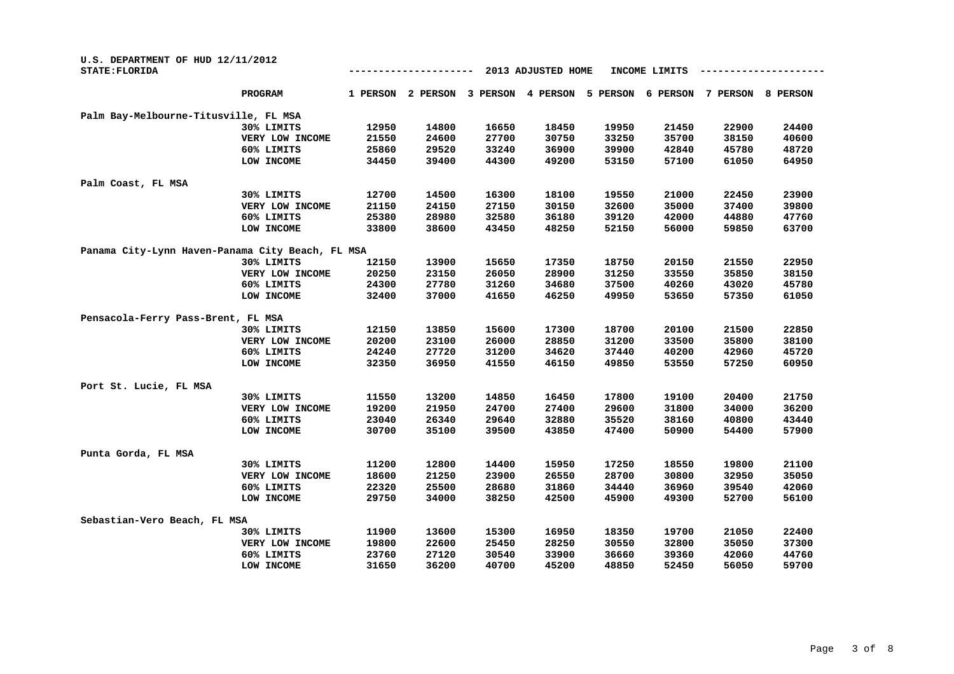| U.S. DEPARTMENT OF HUD 12/11/2012<br><b>STATE: FLORIDA</b> |                 |          |          |          | 2013 ADJUSTED HOME |          | INCOME LIMITS |          |          |
|------------------------------------------------------------|-----------------|----------|----------|----------|--------------------|----------|---------------|----------|----------|
|                                                            | <b>PROGRAM</b>  | 1 PERSON | 2 PERSON | 3 PERSON | 4 PERSON           | 5 PERSON | 6 PERSON      | 7 PERSON | 8 PERSON |
| Palm Bay-Melbourne-Titusville, FL MSA                      |                 |          |          |          |                    |          |               |          |          |
|                                                            | 30% LIMITS      | 12950    | 14800    | 16650    | 18450              | 19950    | 21450         | 22900    | 24400    |
|                                                            | VERY LOW INCOME | 21550    | 24600    | 27700    | 30750              | 33250    | 35700         | 38150    | 40600    |
|                                                            | 60% LIMITS      | 25860    | 29520    | 33240    | 36900              | 39900    | 42840         | 45780    | 48720    |
|                                                            | LOW INCOME      | 34450    | 39400    | 44300    | 49200              | 53150    | 57100         | 61050    | 64950    |
| Palm Coast, FL MSA                                         |                 |          |          |          |                    |          |               |          |          |
|                                                            | 30% LIMITS      | 12700    | 14500    | 16300    | 18100              | 19550    | 21000         | 22450    | 23900    |
|                                                            | VERY LOW INCOME | 21150    | 24150    | 27150    | 30150              | 32600    | 35000         | 37400    | 39800    |
|                                                            | 60% LIMITS      | 25380    | 28980    | 32580    | 36180              | 39120    | 42000         | 44880    | 47760    |
|                                                            | LOW INCOME      | 33800    | 38600    | 43450    | 48250              | 52150    | 56000         | 59850    | 63700    |
| Panama City-Lynn Haven-Panama City Beach, FL MSA           |                 |          |          |          |                    |          |               |          |          |
|                                                            | 30% LIMITS      | 12150    | 13900    | 15650    | 17350              | 18750    | 20150         | 21550    | 22950    |
|                                                            | VERY LOW INCOME | 20250    | 23150    | 26050    | 28900              | 31250    | 33550         | 35850    | 38150    |
|                                                            | 60% LIMITS      | 24300    | 27780    | 31260    | 34680              | 37500    | 40260         | 43020    | 45780    |
|                                                            | LOW INCOME      | 32400    | 37000    | 41650    | 46250              | 49950    | 53650         | 57350    | 61050    |
| Pensacola-Ferry Pass-Brent, FL MSA                         |                 |          |          |          |                    |          |               |          |          |
|                                                            | 30% LIMITS      | 12150    | 13850    | 15600    | 17300              | 18700    | 20100         | 21500    | 22850    |
|                                                            | VERY LOW INCOME | 20200    | 23100    | 26000    | 28850              | 31200    | 33500         | 35800    | 38100    |
|                                                            | 60% LIMITS      | 24240    | 27720    | 31200    | 34620              | 37440    | 40200         | 42960    | 45720    |
|                                                            | LOW INCOME      | 32350    | 36950    | 41550    | 46150              | 49850    | 53550         | 57250    | 60950    |
| Port St. Lucie, FL MSA                                     |                 |          |          |          |                    |          |               |          |          |
|                                                            | 30% LIMITS      | 11550    | 13200    | 14850    | 16450              | 17800    | 19100         | 20400    | 21750    |
|                                                            | VERY LOW INCOME | 19200    | 21950    | 24700    | 27400              | 29600    | 31800         | 34000    | 36200    |
|                                                            | 60% LIMITS      | 23040    | 26340    | 29640    | 32880              | 35520    | 38160         | 40800    | 43440    |
|                                                            | LOW INCOME      | 30700    | 35100    | 39500    | 43850              | 47400    | 50900         | 54400    | 57900    |
| Punta Gorda, FL MSA                                        |                 |          |          |          |                    |          |               |          |          |
|                                                            | 30% LIMITS      | 11200    | 12800    | 14400    | 15950              | 17250    | 18550         | 19800    | 21100    |
|                                                            | VERY LOW INCOME | 18600    | 21250    | 23900    | 26550              | 28700    | 30800         | 32950    | 35050    |
|                                                            | 60% LIMITS      | 22320    | 25500    | 28680    | 31860              | 34440    | 36960         | 39540    | 42060    |
|                                                            | LOW INCOME      | 29750    | 34000    | 38250    | 42500              | 45900    | 49300         | 52700    | 56100    |
| Sebastian-Vero Beach, FL MSA                               |                 |          |          |          |                    |          |               |          |          |
|                                                            | 30% LIMITS      | 11900    | 13600    | 15300    | 16950              | 18350    | 19700         | 21050    | 22400    |
|                                                            | VERY LOW INCOME | 19800    | 22600    | 25450    | 28250              | 30550    | 32800         | 35050    | 37300    |
|                                                            | 60% LIMITS      | 23760    | 27120    | 30540    | 33900              | 36660    | 39360         | 42060    | 44760    |
|                                                            | LOW INCOME      | 31650    | 36200    | 40700    | 45200              | 48850    | 52450         | 56050    | 59700    |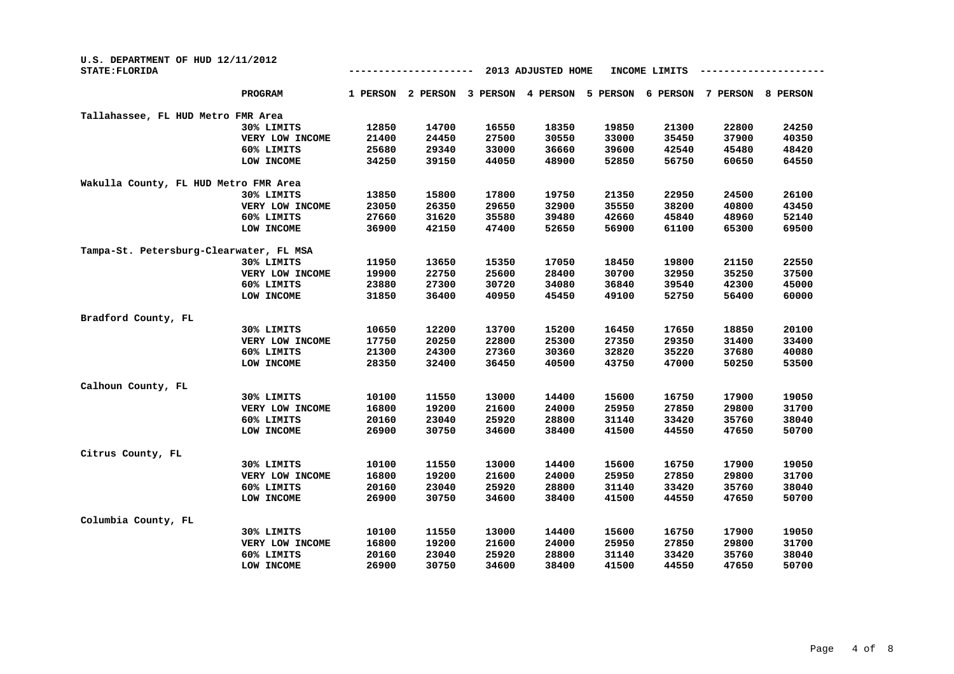| U.S. DEPARTMENT OF HUD 12/11/2012<br>STATE: FLORIDA |                 |          |          |          |          |          |          |          |          |
|-----------------------------------------------------|-----------------|----------|----------|----------|----------|----------|----------|----------|----------|
|                                                     | <b>PROGRAM</b>  | 1 PERSON | 2 PERSON | 3 PERSON | 4 PERSON | 5 PERSON | 6 PERSON | 7 PERSON | 8 PERSON |
| Tallahassee, FL HUD Metro FMR Area                  |                 |          |          |          |          |          |          |          |          |
|                                                     | 30% LIMITS      | 12850    | 14700    | 16550    | 18350    | 19850    | 21300    | 22800    | 24250    |
|                                                     | VERY LOW INCOME | 21400    | 24450    | 27500    | 30550    | 33000    | 35450    | 37900    | 40350    |
|                                                     | 60% LIMITS      | 25680    | 29340    | 33000    | 36660    | 39600    | 42540    | 45480    | 48420    |
|                                                     | LOW INCOME      | 34250    | 39150    | 44050    | 48900    | 52850    | 56750    | 60650    | 64550    |
| Wakulla County, FL HUD Metro FMR Area               |                 |          |          |          |          |          |          |          |          |
|                                                     | 30% LIMITS      | 13850    | 15800    | 17800    | 19750    | 21350    | 22950    | 24500    | 26100    |
|                                                     | VERY LOW INCOME | 23050    | 26350    | 29650    | 32900    | 35550    | 38200    | 40800    | 43450    |
|                                                     | 60% LIMITS      | 27660    | 31620    | 35580    | 39480    | 42660    | 45840    | 48960    | 52140    |
|                                                     | LOW INCOME      | 36900    | 42150    | 47400    | 52650    | 56900    | 61100    | 65300    | 69500    |
| Tampa-St. Petersburg-Clearwater, FL MSA             |                 |          |          |          |          |          |          |          |          |
|                                                     | 30% LIMITS      | 11950    | 13650    | 15350    | 17050    | 18450    | 19800    | 21150    | 22550    |
|                                                     | VERY LOW INCOME | 19900    | 22750    | 25600    | 28400    | 30700    | 32950    | 35250    | 37500    |
|                                                     | 60% LIMITS      | 23880    | 27300    | 30720    | 34080    | 36840    | 39540    | 42300    | 45000    |
|                                                     | LOW INCOME      | 31850    | 36400    | 40950    | 45450    | 49100    | 52750    | 56400    | 60000    |
|                                                     |                 |          |          |          |          |          |          |          |          |
| Bradford County, FL                                 |                 |          |          |          |          |          |          |          |          |
|                                                     | 30% LIMITS      | 10650    | 12200    | 13700    | 15200    | 16450    | 17650    | 18850    | 20100    |
|                                                     | VERY LOW INCOME | 17750    | 20250    | 22800    | 25300    | 27350    | 29350    | 31400    | 33400    |
|                                                     | 60% LIMITS      | 21300    | 24300    | 27360    | 30360    | 32820    | 35220    | 37680    | 40080    |
|                                                     | LOW INCOME      | 28350    | 32400    | 36450    | 40500    | 43750    | 47000    | 50250    | 53500    |
| Calhoun County, FL                                  |                 |          |          |          |          |          |          |          |          |
|                                                     | 30% LIMITS      | 10100    | 11550    | 13000    | 14400    | 15600    | 16750    | 17900    | 19050    |
|                                                     | VERY LOW INCOME | 16800    | 19200    | 21600    | 24000    | 25950    | 27850    | 29800    | 31700    |
|                                                     | 60% LIMITS      | 20160    | 23040    | 25920    | 28800    | 31140    | 33420    | 35760    | 38040    |
|                                                     | LOW INCOME      | 26900    | 30750    | 34600    | 38400    | 41500    | 44550    | 47650    | 50700    |
| Citrus County, FL                                   |                 |          |          |          |          |          |          |          |          |
|                                                     | 30% LIMITS      | 10100    | 11550    | 13000    | 14400    | 15600    | 16750    | 17900    | 19050    |
|                                                     | VERY LOW INCOME | 16800    | 19200    | 21600    | 24000    | 25950    | 27850    | 29800    | 31700    |
|                                                     | 60% LIMITS      | 20160    | 23040    | 25920    | 28800    | 31140    | 33420    | 35760    | 38040    |
|                                                     | LOW INCOME      | 26900    | 30750    | 34600    | 38400    | 41500    | 44550    | 47650    | 50700    |
| Columbia County, FL                                 |                 |          |          |          |          |          |          |          |          |
|                                                     | 30% LIMITS      | 10100    | 11550    | 13000    | 14400    | 15600    | 16750    | 17900    | 19050    |
|                                                     | VERY LOW INCOME | 16800    | 19200    | 21600    | 24000    | 25950    | 27850    | 29800    | 31700    |
|                                                     | 60% LIMITS      | 20160    | 23040    | 25920    | 28800    | 31140    | 33420    | 35760    | 38040    |
|                                                     | LOW INCOME      | 26900    | 30750    | 34600    | 38400    | 41500    | 44550    | 47650    | 50700    |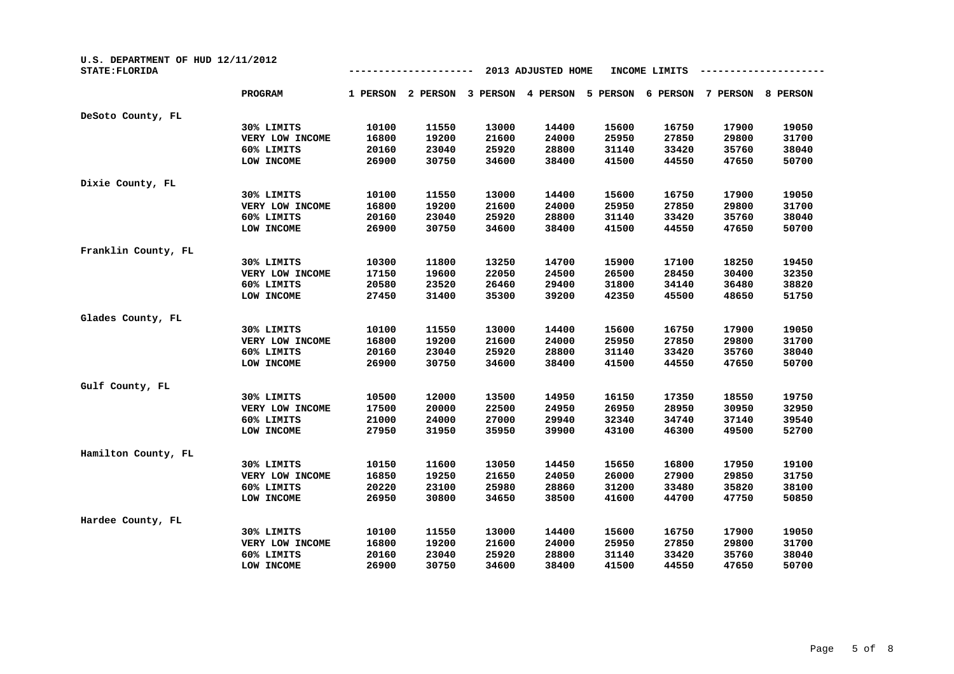| U.S. DEPARTMENT OF HUD 12/11/2012<br><b>STATE: FLORIDA</b> |                 |          |          |          | 2013 ADJUSTED HOME |          | INCOME LIMITS |          |          |
|------------------------------------------------------------|-----------------|----------|----------|----------|--------------------|----------|---------------|----------|----------|
|                                                            | <b>PROGRAM</b>  | 1 PERSON | 2 PERSON | 3 PERSON | 4 PERSON           | 5 PERSON | 6 PERSON      | 7 PERSON | 8 PERSON |
| DeSoto County, FL                                          |                 |          |          |          |                    |          |               |          |          |
|                                                            | 30% LIMITS      | 10100    | 11550    | 13000    | 14400              | 15600    | 16750         | 17900    | 19050    |
|                                                            | VERY LOW INCOME | 16800    | 19200    | 21600    | 24000              | 25950    | 27850         | 29800    | 31700    |
|                                                            | 60% LIMITS      | 20160    | 23040    | 25920    | 28800              | 31140    | 33420         | 35760    | 38040    |
|                                                            | LOW INCOME      | 26900    | 30750    | 34600    | 38400              | 41500    | 44550         | 47650    | 50700    |
| Dixie County, FL                                           |                 |          |          |          |                    |          |               |          |          |
|                                                            | 30% LIMITS      | 10100    | 11550    | 13000    | 14400              | 15600    | 16750         | 17900    | 19050    |
|                                                            | VERY LOW INCOME | 16800    | 19200    | 21600    | 24000              | 25950    | 27850         | 29800    | 31700    |
|                                                            | 60% LIMITS      | 20160    | 23040    | 25920    | 28800              | 31140    | 33420         | 35760    | 38040    |
|                                                            | LOW INCOME      | 26900    | 30750    | 34600    | 38400              | 41500    | 44550         | 47650    | 50700    |
| Franklin County, FL                                        |                 |          |          |          |                    |          |               |          |          |
|                                                            | 30% LIMITS      | 10300    | 11800    | 13250    | 14700              | 15900    | 17100         | 18250    | 19450    |
|                                                            | VERY LOW INCOME | 17150    | 19600    | 22050    | 24500              | 26500    | 28450         | 30400    | 32350    |
|                                                            | 60% LIMITS      | 20580    | 23520    | 26460    | 29400              | 31800    | 34140         | 36480    | 38820    |
|                                                            | LOW INCOME      | 27450    | 31400    | 35300    | 39200              | 42350    | 45500         | 48650    | 51750    |
| Glades County, FL                                          |                 |          |          |          |                    |          |               |          |          |
|                                                            | 30% LIMITS      | 10100    | 11550    | 13000    | 14400              | 15600    | 16750         | 17900    | 19050    |
|                                                            | VERY LOW INCOME | 16800    | 19200    | 21600    | 24000              | 25950    | 27850         | 29800    | 31700    |
|                                                            | 60% LIMITS      | 20160    | 23040    | 25920    | 28800              | 31140    | 33420         | 35760    | 38040    |
|                                                            | LOW INCOME      | 26900    | 30750    | 34600    | 38400              | 41500    | 44550         | 47650    | 50700    |
| Gulf County, FL                                            |                 |          |          |          |                    |          |               |          |          |
|                                                            | 30% LIMITS      | 10500    | 12000    | 13500    | 14950              | 16150    | 17350         | 18550    | 19750    |
|                                                            | VERY LOW INCOME | 17500    | 20000    | 22500    | 24950              | 26950    | 28950         | 30950    | 32950    |
|                                                            | 60% LIMITS      | 21000    | 24000    | 27000    | 29940              | 32340    | 34740         | 37140    | 39540    |
|                                                            | LOW INCOME      | 27950    | 31950    | 35950    | 39900              | 43100    | 46300         | 49500    | 52700    |
| Hamilton County, FL                                        |                 |          |          |          |                    |          |               |          |          |
|                                                            | 30% LIMITS      | 10150    | 11600    | 13050    | 14450              | 15650    | 16800         | 17950    | 19100    |
|                                                            | VERY LOW INCOME | 16850    | 19250    | 21650    | 24050              | 26000    | 27900         | 29850    | 31750    |
|                                                            | 60% LIMITS      | 20220    | 23100    | 25980    | 28860              | 31200    | 33480         | 35820    | 38100    |
|                                                            | LOW INCOME      | 26950    | 30800    | 34650    | 38500              | 41600    | 44700         | 47750    | 50850    |
| Hardee County, FL                                          |                 |          |          |          |                    |          |               |          |          |
|                                                            | 30% LIMITS      | 10100    | 11550    | 13000    | 14400              | 15600    | 16750         | 17900    | 19050    |
|                                                            | VERY LOW INCOME | 16800    | 19200    | 21600    | 24000              | 25950    | 27850         | 29800    | 31700    |
|                                                            | 60% LIMITS      | 20160    | 23040    | 25920    | 28800              | 31140    | 33420         | 35760    | 38040    |
|                                                            | LOW INCOME      | 26900    | 30750    | 34600    | 38400              | 41500    | 44550         | 47650    | 50700    |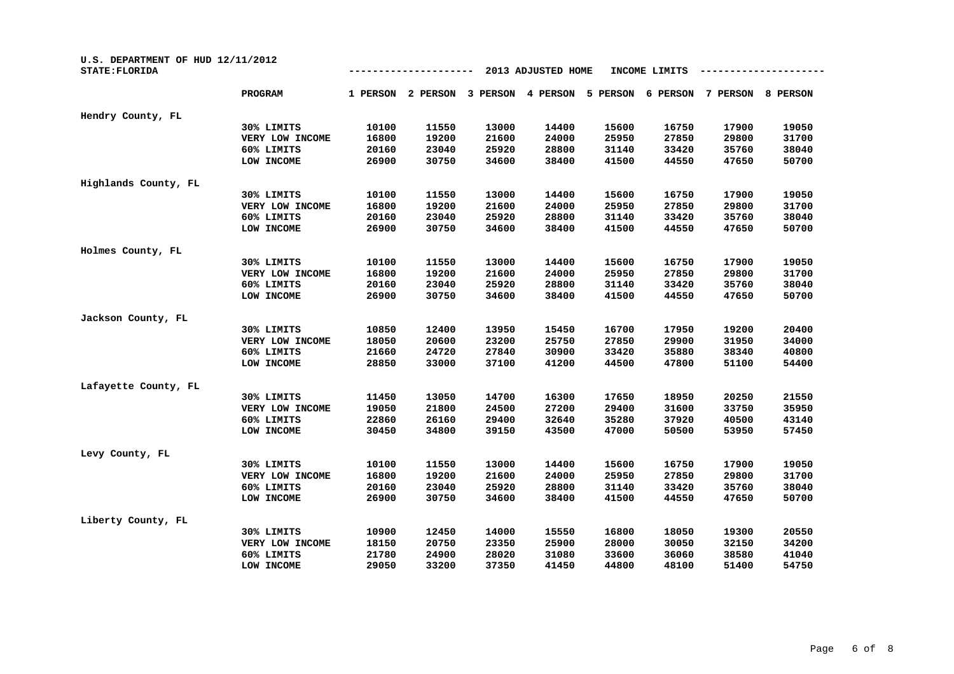| U.S. DEPARTMENT OF HUD 12/11/2012<br><b>STATE: FLORIDA</b> |                 |          |          | INCOME LIMITS |          |          |          |          |          |
|------------------------------------------------------------|-----------------|----------|----------|---------------|----------|----------|----------|----------|----------|
|                                                            | PROGRAM         | 1 PERSON | 2 PERSON | 3 PERSON      | 4 PERSON | 5 PERSON | 6 PERSON | 7 PERSON | 8 PERSON |
| Hendry County, FL                                          |                 |          |          |               |          |          |          |          |          |
|                                                            | 30% LIMITS      | 10100    | 11550    | 13000         | 14400    | 15600    | 16750    | 17900    | 19050    |
|                                                            | VERY LOW INCOME | 16800    | 19200    | 21600         | 24000    | 25950    | 27850    | 29800    | 31700    |
|                                                            | 60% LIMITS      | 20160    | 23040    | 25920         | 28800    | 31140    | 33420    | 35760    | 38040    |
|                                                            | LOW INCOME      | 26900    | 30750    | 34600         | 38400    | 41500    | 44550    | 47650    | 50700    |
| Highlands County, FL                                       |                 |          |          |               |          |          |          |          |          |
|                                                            | 30% LIMITS      | 10100    | 11550    | 13000         | 14400    | 15600    | 16750    | 17900    | 19050    |
|                                                            | VERY LOW INCOME | 16800    | 19200    | 21600         | 24000    | 25950    | 27850    | 29800    | 31700    |
|                                                            | 60% LIMITS      | 20160    | 23040    | 25920         | 28800    | 31140    | 33420    | 35760    | 38040    |
|                                                            | LOW INCOME      | 26900    | 30750    | 34600         | 38400    | 41500    | 44550    | 47650    | 50700    |
| Holmes County, FL                                          |                 |          |          |               |          |          |          |          |          |
|                                                            | 30% LIMITS      | 10100    | 11550    | 13000         | 14400    | 15600    | 16750    | 17900    | 19050    |
|                                                            | VERY LOW INCOME | 16800    | 19200    | 21600         | 24000    | 25950    | 27850    | 29800    | 31700    |
|                                                            | 60% LIMITS      | 20160    | 23040    | 25920         | 28800    | 31140    | 33420    | 35760    | 38040    |
|                                                            | LOW INCOME      | 26900    | 30750    | 34600         | 38400    | 41500    | 44550    | 47650    | 50700    |
| Jackson County, FL                                         |                 |          |          |               |          |          |          |          |          |
|                                                            | 30% LIMITS      | 10850    | 12400    | 13950         | 15450    | 16700    | 17950    | 19200    | 20400    |
|                                                            | VERY LOW INCOME | 18050    | 20600    | 23200         | 25750    | 27850    | 29900    | 31950    | 34000    |
|                                                            | 60% LIMITS      | 21660    | 24720    | 27840         | 30900    | 33420    | 35880    | 38340    | 40800    |
|                                                            | LOW INCOME      | 28850    | 33000    | 37100         | 41200    | 44500    | 47800    | 51100    | 54400    |
| Lafayette County, FL                                       |                 |          |          |               |          |          |          |          |          |
|                                                            | 30% LIMITS      | 11450    | 13050    | 14700         | 16300    | 17650    | 18950    | 20250    | 21550    |
|                                                            | VERY LOW INCOME | 19050    | 21800    | 24500         | 27200    | 29400    | 31600    | 33750    | 35950    |
|                                                            | 60% LIMITS      | 22860    | 26160    | 29400         | 32640    | 35280    | 37920    | 40500    | 43140    |
|                                                            | LOW INCOME      | 30450    | 34800    | 39150         | 43500    | 47000    | 50500    | 53950    | 57450    |
| Levy County, FL                                            |                 |          |          |               |          |          |          |          |          |
|                                                            | 30% LIMITS      | 10100    | 11550    | 13000         | 14400    | 15600    | 16750    | 17900    | 19050    |
|                                                            | VERY LOW INCOME | 16800    | 19200    | 21600         | 24000    | 25950    | 27850    | 29800    | 31700    |
|                                                            | 60% LIMITS      | 20160    | 23040    | 25920         | 28800    | 31140    | 33420    | 35760    | 38040    |
|                                                            | LOW INCOME      | 26900    | 30750    | 34600         | 38400    | 41500    | 44550    | 47650    | 50700    |
| Liberty County, FL                                         |                 |          |          |               |          |          |          |          |          |
|                                                            | 30% LIMITS      | 10900    | 12450    | 14000         | 15550    | 16800    | 18050    | 19300    | 20550    |
|                                                            | VERY LOW INCOME | 18150    | 20750    | 23350         | 25900    | 28000    | 30050    | 32150    | 34200    |
|                                                            | 60% LIMITS      | 21780    | 24900    | 28020         | 31080    | 33600    | 36060    | 38580    | 41040    |
|                                                            | LOW INCOME      | 29050    | 33200    | 37350         | 41450    | 44800    | 48100    | 51400    | 54750    |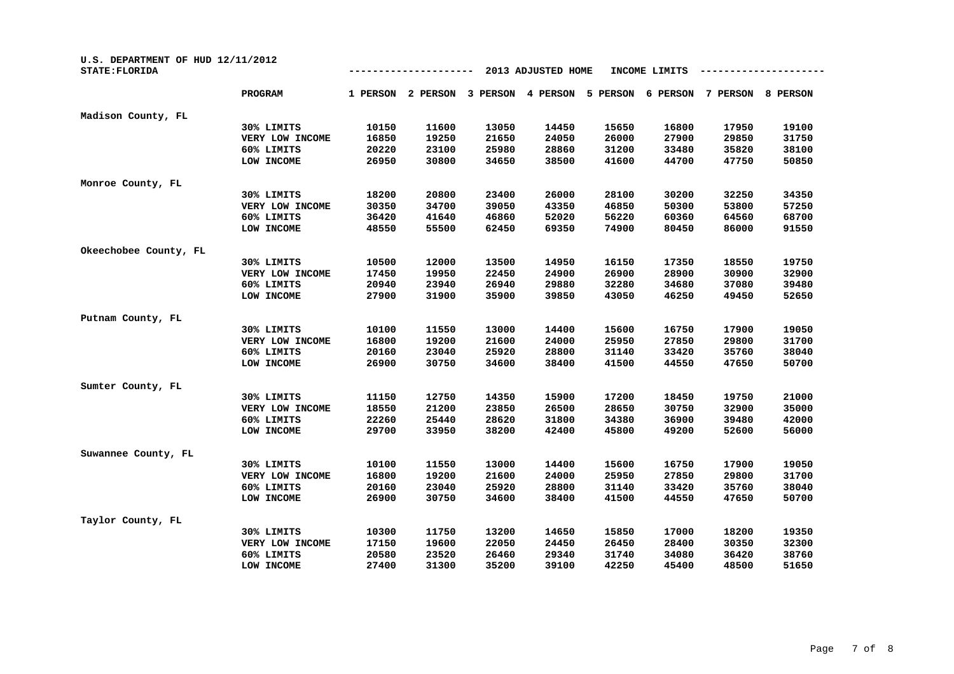| U.S. DEPARTMENT OF HUD 12/11/2012<br><b>STATE: FLORIDA</b> |                 |          |          | INCOME LIMITS |          |          |          |          |          |
|------------------------------------------------------------|-----------------|----------|----------|---------------|----------|----------|----------|----------|----------|
|                                                            | <b>PROGRAM</b>  | 1 PERSON | 2 PERSON | 3 PERSON      | 4 PERSON | 5 PERSON | 6 PERSON | 7 PERSON | 8 PERSON |
| Madison County, FL                                         |                 |          |          |               |          |          |          |          |          |
|                                                            | 30% LIMITS      | 10150    | 11600    | 13050         | 14450    | 15650    | 16800    | 17950    | 19100    |
|                                                            | VERY LOW INCOME | 16850    | 19250    | 21650         | 24050    | 26000    | 27900    | 29850    | 31750    |
|                                                            | 60% LIMITS      | 20220    | 23100    | 25980         | 28860    | 31200    | 33480    | 35820    | 38100    |
|                                                            | LOW INCOME      | 26950    | 30800    | 34650         | 38500    | 41600    | 44700    | 47750    | 50850    |
| Monroe County, FL                                          |                 |          |          |               |          |          |          |          |          |
|                                                            | 30% LIMITS      | 18200    | 20800    | 23400         | 26000    | 28100    | 30200    | 32250    | 34350    |
|                                                            | VERY LOW INCOME | 30350    | 34700    | 39050         | 43350    | 46850    | 50300    | 53800    | 57250    |
|                                                            | 60% LIMITS      | 36420    | 41640    | 46860         | 52020    | 56220    | 60360    | 64560    | 68700    |
|                                                            | LOW INCOME      | 48550    | 55500    | 62450         | 69350    | 74900    | 80450    | 86000    | 91550    |
| Okeechobee County, FL                                      |                 |          |          |               |          |          |          |          |          |
|                                                            | 30% LIMITS      | 10500    | 12000    | 13500         | 14950    | 16150    | 17350    | 18550    | 19750    |
|                                                            | VERY LOW INCOME | 17450    | 19950    | 22450         | 24900    | 26900    | 28900    | 30900    | 32900    |
|                                                            | 60% LIMITS      | 20940    | 23940    | 26940         | 29880    | 32280    | 34680    | 37080    | 39480    |
|                                                            | LOW INCOME      | 27900    | 31900    | 35900         | 39850    | 43050    | 46250    | 49450    | 52650    |
| Putnam County, FL                                          |                 |          |          |               |          |          |          |          |          |
|                                                            | 30% LIMITS      | 10100    | 11550    | 13000         | 14400    | 15600    | 16750    | 17900    | 19050    |
|                                                            | VERY LOW INCOME | 16800    | 19200    | 21600         | 24000    | 25950    | 27850    | 29800    | 31700    |
|                                                            | 60% LIMITS      | 20160    | 23040    | 25920         | 28800    | 31140    | 33420    | 35760    | 38040    |
|                                                            | LOW INCOME      | 26900    | 30750    | 34600         | 38400    | 41500    | 44550    | 47650    | 50700    |
| Sumter County, FL                                          |                 |          |          |               |          |          |          |          |          |
|                                                            | 30% LIMITS      | 11150    | 12750    | 14350         | 15900    | 17200    | 18450    | 19750    | 21000    |
|                                                            | VERY LOW INCOME | 18550    | 21200    | 23850         | 26500    | 28650    | 30750    | 32900    | 35000    |
|                                                            | 60% LIMITS      | 22260    | 25440    | 28620         | 31800    | 34380    | 36900    | 39480    | 42000    |
|                                                            | LOW INCOME      | 29700    | 33950    | 38200         | 42400    | 45800    | 49200    | 52600    | 56000    |
| Suwannee County, FL                                        |                 |          |          |               |          |          |          |          |          |
|                                                            | 30% LIMITS      | 10100    | 11550    | 13000         | 14400    | 15600    | 16750    | 17900    | 19050    |
|                                                            | VERY LOW INCOME | 16800    | 19200    | 21600         | 24000    | 25950    | 27850    | 29800    | 31700    |
|                                                            | 60% LIMITS      | 20160    | 23040    | 25920         | 28800    | 31140    | 33420    | 35760    | 38040    |
|                                                            | LOW INCOME      | 26900    | 30750    | 34600         | 38400    | 41500    | 44550    | 47650    | 50700    |
| Taylor County, FL                                          |                 |          |          |               |          |          |          |          |          |
|                                                            | 30% LIMITS      | 10300    | 11750    | 13200         | 14650    | 15850    | 17000    | 18200    | 19350    |
|                                                            | VERY LOW INCOME | 17150    | 19600    | 22050         | 24450    | 26450    | 28400    | 30350    | 32300    |
|                                                            | 60% LIMITS      | 20580    | 23520    | 26460         | 29340    | 31740    | 34080    | 36420    | 38760    |
|                                                            | LOW INCOME      | 27400    | 31300    | 35200         | 39100    | 42250    | 45400    | 48500    | 51650    |